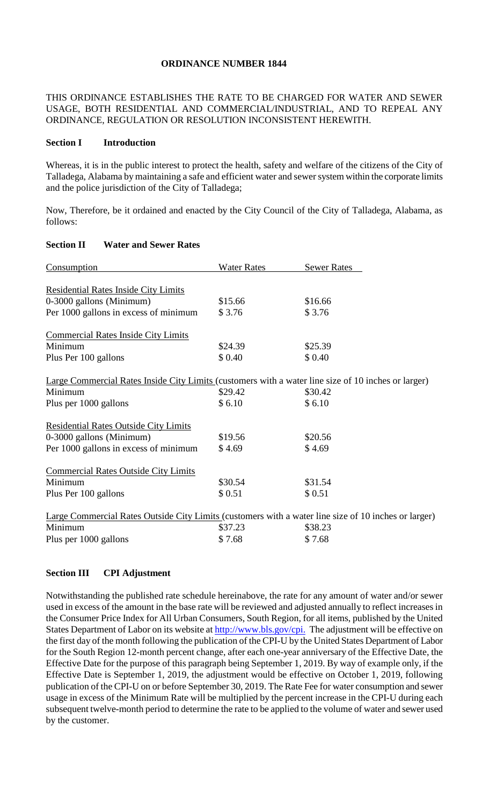## **ORDINANCE NUMBER 1844**

THIS ORDINANCE ESTABLISHES THE RATE TO BE CHARGED FOR WATER AND SEWER USAGE, BOTH RESIDENTIAL AND COMMERCIAL/INDUSTRIAL, AND TO REPEAL ANY ORDINANCE, REGULATION OR RESOLUTION INCONSISTENT HEREWITH.

#### **Section I Introduction**

Whereas, it is in the public interest to protect the health, safety and welfare of the citizens of the City of Talladega, Alabama by maintaining a safe and efficient water and sewer system within the corporate limits and the police jurisdiction of the City of Talladega;

Now, Therefore, be it ordained and enacted by the City Council of the City of Talladega, Alabama, as follows:

### **Section II Water and Sewer Rates**

| Consumption                                                                                          | <b>Water Rates</b> | <b>Sewer Rates</b> |
|------------------------------------------------------------------------------------------------------|--------------------|--------------------|
|                                                                                                      |                    |                    |
| <b>Residential Rates Inside City Limits</b>                                                          |                    |                    |
| 0-3000 gallons (Minimum)                                                                             | \$15.66            | \$16.66            |
| Per 1000 gallons in excess of minimum                                                                | \$3.76             | \$3.76             |
| <b>Commercial Rates Inside City Limits</b>                                                           |                    |                    |
| Minimum                                                                                              | \$24.39            | \$25.39            |
| Plus Per 100 gallons                                                                                 | \$0.40             | \$0.40             |
| Large Commercial Rates Inside City Limits (customers with a water line size of 10 inches or larger)  |                    |                    |
| Minimum                                                                                              | \$29.42            | \$30.42            |
| Plus per 1000 gallons                                                                                | \$6.10             | \$6.10             |
| <b>Residential Rates Outside City Limits</b>                                                         |                    |                    |
| 0-3000 gallons (Minimum)                                                                             | \$19.56            | \$20.56            |
| Per 1000 gallons in excess of minimum                                                                | \$4.69             | \$4.69             |
| <b>Commercial Rates Outside City Limits</b>                                                          |                    |                    |
| Minimum                                                                                              | \$30.54            | \$31.54            |
| Plus Per 100 gallons                                                                                 | \$0.51             | \$0.51             |
| Large Commercial Rates Outside City Limits (customers with a water line size of 10 inches or larger) |                    |                    |
| Minimum                                                                                              | \$37.23            | \$38.23            |
| Plus per 1000 gallons                                                                                | \$7.68             | \$7.68             |

### **Section III CPI Adjustment**

Notwithstanding the published rate schedule hereinabove, the rate for any amount of water and/or sewer used in excess of the amount in the base rate will be reviewed and adjusted annually to reflect increases in the Consumer Price Index for All Urban Consumers, South Region, for all items, published by the United States Department of Labor on its website at http://www.bls.gov/cpi. The adjustment will be effective on the first day of the month following the publication of the CPI-U by the United States Department of Labor for the South Region 12-month percent change, after each one-year anniversary of the Effective Date, the Effective Date for the purpose of this paragraph being September 1, 2019. By way of example only, if the Effective Date is September 1, 2019, the adjustment would be effective on October 1, 2019, following publication of the CPI-U on or before September 30, 2019. The Rate Fee for water consumption and sewer usage in excess of the Minimum Rate will be multiplied by the percent increase in the CPI-U during each subsequent twelve-month period to determine the rate to be applied to the volume of water and sewer used by the customer.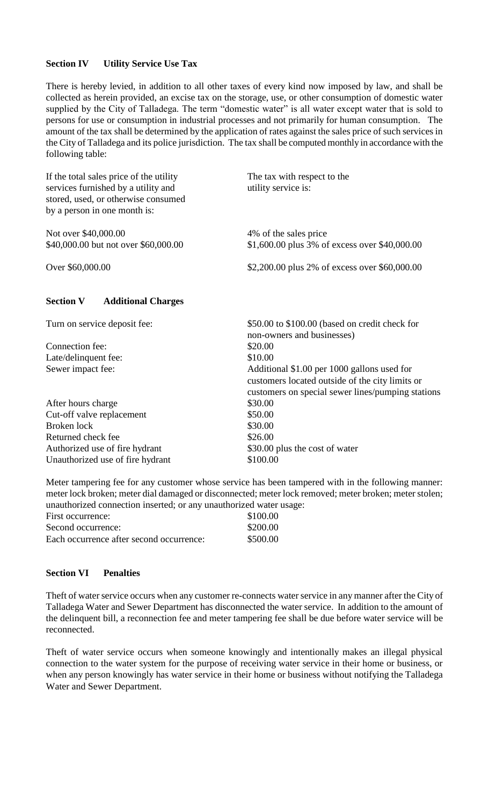## **Section IV Utility Service Use Tax**

There is hereby levied, in addition to all other taxes of every kind now imposed by law, and shall be collected as herein provided, an excise tax on the storage, use, or other consumption of domestic water supplied by the City of Talladega. The term "domestic water" is all water except water that is sold to persons for use or consumption in industrial processes and not primarily for human consumption. The amount of the tax shall be determined by the application of rates against the sales price of such services in the City of Talladega and its police jurisdiction. The tax shall be computed monthly in accordance with the following table:

| If the total sales price of the utility<br>services furnished by a utility and<br>stored, used, or otherwise consumed<br>by a person in one month is: | The tax with respect to the<br>utility service is:                                                                                                  |  |
|-------------------------------------------------------------------------------------------------------------------------------------------------------|-----------------------------------------------------------------------------------------------------------------------------------------------------|--|
| Not over \$40,000.00                                                                                                                                  | 4% of the sales price                                                                                                                               |  |
| \$40,000.00 but not over \$60,000.00                                                                                                                  | \$1,600.00 plus 3% of excess over \$40,000.00                                                                                                       |  |
| Over \$60,000.00                                                                                                                                      | \$2,200.00 plus 2% of excess over \$60,000.00                                                                                                       |  |
| <b>Section V</b><br><b>Additional Charges</b>                                                                                                         |                                                                                                                                                     |  |
| Turn on service deposit fee:                                                                                                                          | \$50.00 to \$100.00 (based on credit check for<br>non-owners and businesses)                                                                        |  |
| Connection fee:                                                                                                                                       | \$20.00                                                                                                                                             |  |
| Late/delinquent fee:                                                                                                                                  | \$10.00                                                                                                                                             |  |
| Sewer impact fee:                                                                                                                                     | Additional \$1.00 per 1000 gallons used for<br>customers located outside of the city limits or<br>customers on special sewer lines/pumping stations |  |
| After hours charge                                                                                                                                    | \$30.00                                                                                                                                             |  |
| Cut-off valve replacement                                                                                                                             | \$50.00                                                                                                                                             |  |
| Broken lock                                                                                                                                           | \$30.00                                                                                                                                             |  |
| Returned check fee                                                                                                                                    | \$26.00                                                                                                                                             |  |
| Authorized use of fire hydrant                                                                                                                        | \$30.00 plus the cost of water                                                                                                                      |  |
| Unauthorized use of fire hydrant                                                                                                                      | \$100.00                                                                                                                                            |  |

Meter tampering fee for any customer whose service has been tampered with in the following manner: meter lock broken; meter dial damaged or disconnected; meter lock removed; meter broken; meter stolen; unauthorized connection inserted; or any unauthorized water usage:

| First occurrence:                        | \$100.00 |
|------------------------------------------|----------|
| Second occurrence:                       | \$200.00 |
| Each occurrence after second occurrence: | \$500.00 |

### **Section VI Penalties**

Theft of water service occurs when any customer re-connects water service in any manner after the City of Talladega Water and Sewer Department has disconnected the water service. In addition to the amount of the delinquent bill, a reconnection fee and meter tampering fee shall be due before water service will be reconnected.

Theft of water service occurs when someone knowingly and intentionally makes an illegal physical connection to the water system for the purpose of receiving water service in their home or business, or when any person knowingly has water service in their home or business without notifying the Talladega Water and Sewer Department.